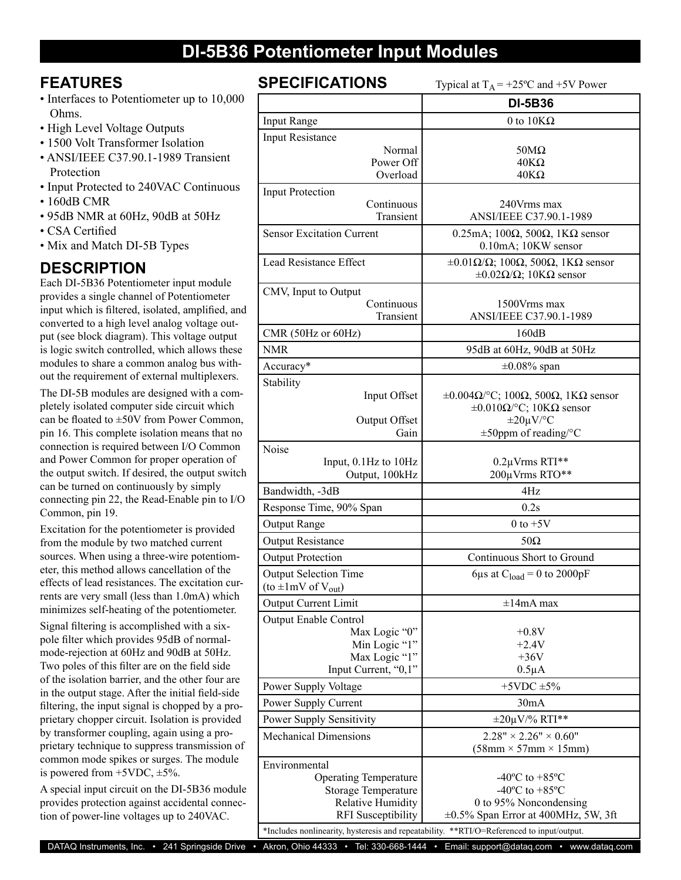# **DI-5B36 Potentiometer Input Modules**

### **FEATURES**

- Interfaces to Potentiometer up to 10,000 Ohms.
- High Level Voltage Outputs
- 1500 Volt Transformer Isolation
- ANSI/IEEE C37.90.1-1989 Transient Protection
- Input Protected to 240VAC Continuous
- 160dB CMR
- 95dB NMR at 60Hz, 90dB at 50Hz
- CSA Certified
- Mix and Match DI-5B Types

## **DESCRIPTION**

Each DI-5B36 Potentiometer input module provides a single channel of Potentiometer input which is filtered, isolated, amplified, and converted to a high level analog voltage output (see block diagram). This voltage output is logic switch controlled, which allows these modules to share a common analog bus without the requirement of external multiplexers.

The DI-5B modules are designed with a completely isolated computer side circuit which can be floated to ±50V from Power Common, pin 16. This complete isolation means that no connection is required between I/O Common and Power Common for proper operation of the output switch. If desired, the output switch can be turned on continuously by simply connecting pin 22, the Read-Enable pin to I/O Common, pin 19.

Excitation for the potentiometer is provided from the module by two matched current sources. When using a three-wire potentiometer, this method allows cancellation of the effects of lead resistances. The excitation currents are very small (less than 1.0mA) which minimizes self-heating of the potentiometer.

Signal filtering is accomplished with a sixpole filter which provides 95dB of normalmode-rejection at 60Hz and 90dB at 50Hz. Two poles of this filter are on the field side of the isolation barrier, and the other four are in the output stage. After the initial field-side filtering, the input signal is chopped by a proprietary chopper circuit. Isolation is provided by transformer coupling, again using a proprietary technique to suppress transmission of common mode spikes or surges. The module is powered from  $+5VDC$ ,  $\pm 5\%$ .

A special input circuit on the DI-5B36 module provides protection against accidental connection of power-line voltages up to 240VAC.

**SPECIFICATIONS** Typical at  $T_A = +25^\circ C$  and  $+5V$  Power

|                                                                                           | 1 y pivai at 1 g<br>$\sim$ $\sim$ and $\sim$ $\sim$ 1 0 $\sigma$                                                                              |  |
|-------------------------------------------------------------------------------------------|-----------------------------------------------------------------------------------------------------------------------------------------------|--|
|                                                                                           | <b>DI-5B36</b>                                                                                                                                |  |
| <b>Input Range</b>                                                                        | 0 to $10K\Omega$                                                                                                                              |  |
| <b>Input Resistance</b>                                                                   |                                                                                                                                               |  |
| Normal                                                                                    | $50M\Omega$                                                                                                                                   |  |
| Power Off<br>Overload                                                                     | $40K\Omega$<br>$40K\Omega$                                                                                                                    |  |
|                                                                                           |                                                                                                                                               |  |
| <b>Input Protection</b><br>Continuous                                                     | 240Vrms max                                                                                                                                   |  |
| Transient                                                                                 | ANSI/IEEE C37.90.1-1989                                                                                                                       |  |
| <b>Sensor Excitation Current</b>                                                          | 0.25mA; 100 $\Omega$ , 500 $\Omega$ , 1K $\Omega$ sensor                                                                                      |  |
|                                                                                           | 0.10mA; 10KW sensor                                                                                                                           |  |
| Lead Resistance Effect                                                                    | $\pm 0.01 \Omega/\Omega$ ; 100 $\Omega$ , 500 $\Omega$ , 1K $\Omega$ sensor                                                                   |  |
|                                                                                           | $\pm 0.02\Omega/\Omega$ ; 10K $\Omega$ sensor                                                                                                 |  |
| CMV, Input to Output                                                                      |                                                                                                                                               |  |
| Continuous                                                                                | 1500 Vrms max                                                                                                                                 |  |
| Transient                                                                                 | ANSI/IEEE C37.90.1-1989                                                                                                                       |  |
| CMR (50Hz or 60Hz)                                                                        | 160dB                                                                                                                                         |  |
| <b>NMR</b>                                                                                | 95dB at 60Hz, 90dB at 50Hz                                                                                                                    |  |
| Accuracy*                                                                                 | $\pm 0.08\%$ span                                                                                                                             |  |
| Stability                                                                                 |                                                                                                                                               |  |
| Input Offset                                                                              | $\pm 0.004 \Omega$ <sup>o</sup> C; 100 $\Omega$ , 500 $\Omega$ , 1K $\Omega$ sensor<br>$\pm 0.010 \Omega$ <sup>o</sup> C; 10K $\Omega$ sensor |  |
| Output Offset                                                                             | $\pm 20 \mu V$ <sup>o</sup> C                                                                                                                 |  |
| Gain                                                                                      | $\pm$ 50ppm of reading/°C                                                                                                                     |  |
| Noise                                                                                     |                                                                                                                                               |  |
| Input, 0.1Hz to 10Hz                                                                      | 0.2µVrms RTI**                                                                                                                                |  |
| Output, 100kHz                                                                            | 200µVrms RTO**                                                                                                                                |  |
| Bandwidth, -3dB                                                                           | 4Hz                                                                                                                                           |  |
| Response Time, 90% Span                                                                   | 0.2s                                                                                                                                          |  |
| Output Range                                                                              | $0$ to $+5V$                                                                                                                                  |  |
| <b>Output Resistance</b>                                                                  | $50\Omega$                                                                                                                                    |  |
| <b>Output Protection</b>                                                                  | Continuous Short to Ground                                                                                                                    |  |
| <b>Output Selection Time</b>                                                              | 6µs at $C_{load} = 0$ to 2000pF                                                                                                               |  |
| $(\text{to } \pm 1 \text{mV of V}_{\text{out}})$                                          |                                                                                                                                               |  |
| Output Current Limit                                                                      | $\pm 14$ mA max                                                                                                                               |  |
| <b>Output Enable Control</b>                                                              |                                                                                                                                               |  |
| Max Logic "0"                                                                             | $+0.8V$                                                                                                                                       |  |
| Min Logic "1"<br>Max Logic "1"                                                            | $+2.4V$<br>$+36V$                                                                                                                             |  |
| Input Current, "0,1"                                                                      | $0.5\mu A$                                                                                                                                    |  |
| Power Supply Voltage                                                                      | $+5$ VDC $\pm 5\%$                                                                                                                            |  |
| Power Supply Current                                                                      | 30mA                                                                                                                                          |  |
| <b>Power Supply Sensitivity</b>                                                           | $\pm 20 \mu V$ % RTI**                                                                                                                        |  |
| <b>Mechanical Dimensions</b>                                                              | $2.28" \times 2.26" \times 0.60"$                                                                                                             |  |
|                                                                                           | $(58mm \times 57mm \times 15mm)$                                                                                                              |  |
| Environmental                                                                             |                                                                                                                                               |  |
| <b>Operating Temperature</b>                                                              | $-40^{\circ}$ C to $+85^{\circ}$ C                                                                                                            |  |
| <b>Storage Temperature</b>                                                                | $-40^{\circ}$ C to $+85^{\circ}$ C                                                                                                            |  |
| <b>Relative Humidity</b>                                                                  | 0 to 95% Noncondensing                                                                                                                        |  |
| <b>RFI</b> Susceptibility                                                                 | $\pm 0.5\%$ Span Error at 400MHz, 5W, 3ft                                                                                                     |  |
| *Includes nonlinearity, hysteresis and repeatability. **RTI/O=Referenced to input/output. |                                                                                                                                               |  |